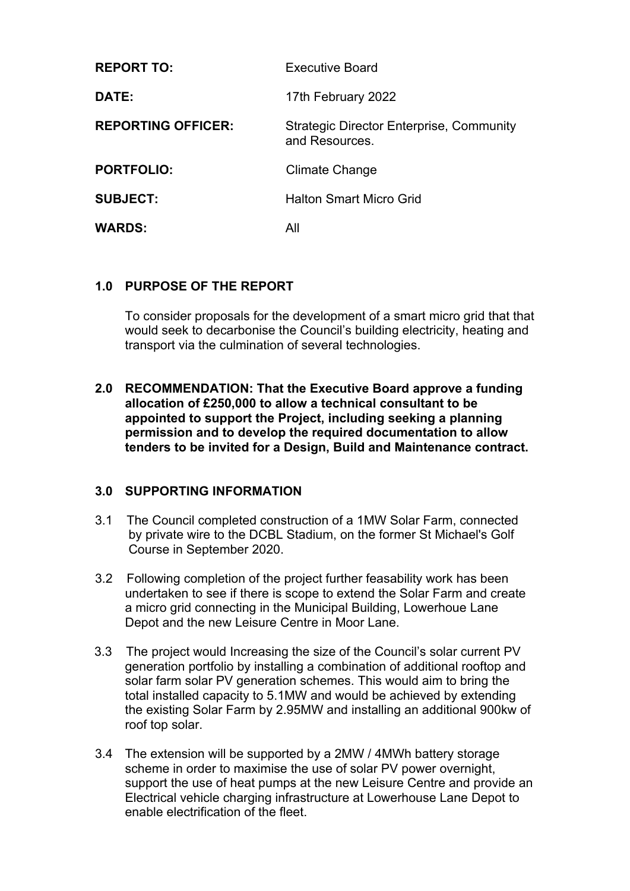| <b>REPORT TO:</b>         | <b>Executive Board</b>                                     |  |
|---------------------------|------------------------------------------------------------|--|
| DATE:                     | 17th February 2022                                         |  |
| <b>REPORTING OFFICER:</b> | Strategic Director Enterprise, Community<br>and Resources. |  |
| <b>PORTFOLIO:</b>         | Climate Change                                             |  |
| <b>SUBJECT:</b>           | <b>Halton Smart Micro Grid</b>                             |  |
| <b>WARDS:</b>             | All                                                        |  |

#### **1.0 PURPOSE OF THE REPORT**

To consider proposals for the development of a smart micro grid that that would seek to decarbonise the Council's building electricity, heating and transport via the culmination of several technologies.

**2.0 RECOMMENDATION: That the Executive Board approve a funding allocation of £250,000 to allow a technical consultant to be appointed to support the Project, including seeking a planning permission and to develop the required documentation to allow tenders to be invited for a Design, Build and Maintenance contract.**

#### **3.0 SUPPORTING INFORMATION**

- 3.1 The Council completed construction of a 1MW Solar Farm, connected by private wire to the DCBL Stadium, on the former St Michael's Golf Course in September 2020.
- 3.2 Following completion of the project further feasability work has been undertaken to see if there is scope to extend the Solar Farm and create a micro grid connecting in the Municipal Building, Lowerhoue Lane Depot and the new Leisure Centre in Moor Lane.
- 3.3 The project would Increasing the size of the Council's solar current PV generation portfolio by installing a combination of additional rooftop and solar farm solar PV generation schemes. This would aim to bring the total installed capacity to 5.1MW and would be achieved by extending the existing Solar Farm by 2.95MW and installing an additional 900kw of roof top solar.
- 3.4 The extension will be supported by a 2MW / 4MWh battery storage scheme in order to maximise the use of solar PV power overnight, support the use of heat pumps at the new Leisure Centre and provide an Electrical vehicle charging infrastructure at Lowerhouse Lane Depot to enable electrification of the fleet.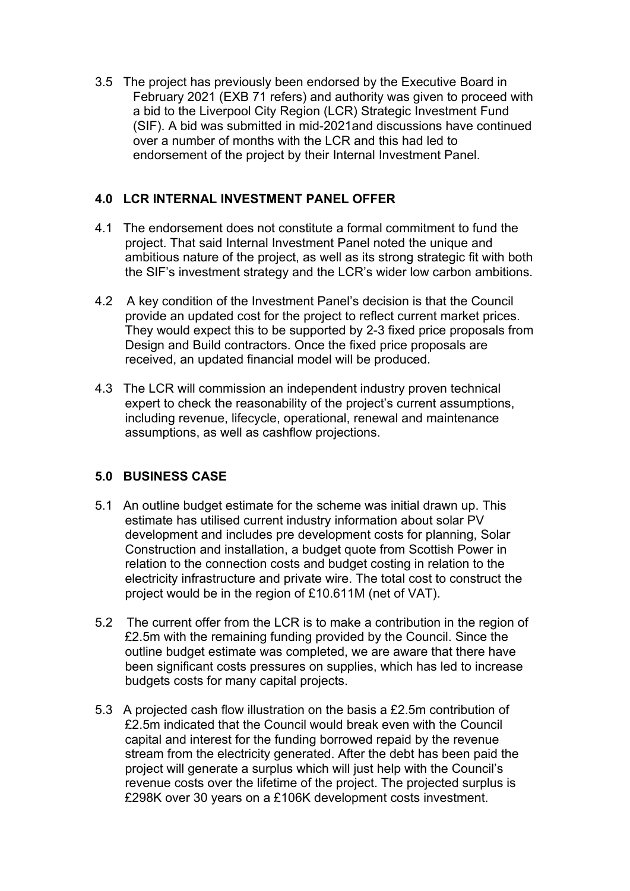3.5 The project has previously been endorsed by the Executive Board in February 2021 (EXB 71 refers) and authority was given to proceed with a bid to the Liverpool City Region (LCR) Strategic Investment Fund (SIF). A bid was submitted in mid-2021and discussions have continued over a number of months with the LCR and this had led to endorsement of the project by their Internal Investment Panel.

### **4.0 LCR INTERNAL INVESTMENT PANEL OFFER**

- 4.1 The endorsement does not constitute a formal commitment to fund the project. That said Internal Investment Panel noted the unique and ambitious nature of the project, as well as its strong strategic fit with both the SIF's investment strategy and the LCR's wider low carbon ambitions.
- 4.2 A key condition of the Investment Panel's decision is that the Council provide an updated cost for the project to reflect current market prices. They would expect this to be supported by 2-3 fixed price proposals from Design and Build contractors. Once the fixed price proposals are received, an updated financial model will be produced.
- 4.3 The LCR will commission an independent industry proven technical expert to check the reasonability of the project's current assumptions, including revenue, lifecycle, operational, renewal and maintenance assumptions, as well as cashflow projections.

## **5.0 BUSINESS CASE**

- 5.1 An outline budget estimate for the scheme was initial drawn up. This estimate has utilised current industry information about solar PV development and includes pre development costs for planning, Solar Construction and installation, a budget quote from Scottish Power in relation to the connection costs and budget costing in relation to the electricity infrastructure and private wire. The total cost to construct the project would be in the region of £10.611M (net of VAT).
- 5.2 The current offer from the LCR is to make a contribution in the region of £2.5m with the remaining funding provided by the Council. Since the outline budget estimate was completed, we are aware that there have been significant costs pressures on supplies, which has led to increase budgets costs for many capital projects.
- 5.3 A projected cash flow illustration on the basis a £2.5m contribution of £2.5m indicated that the Council would break even with the Council capital and interest for the funding borrowed repaid by the revenue stream from the electricity generated. After the debt has been paid the project will generate a surplus which will just help with the Council's revenue costs over the lifetime of the project. The projected surplus is £298K over 30 years on a £106K development costs investment.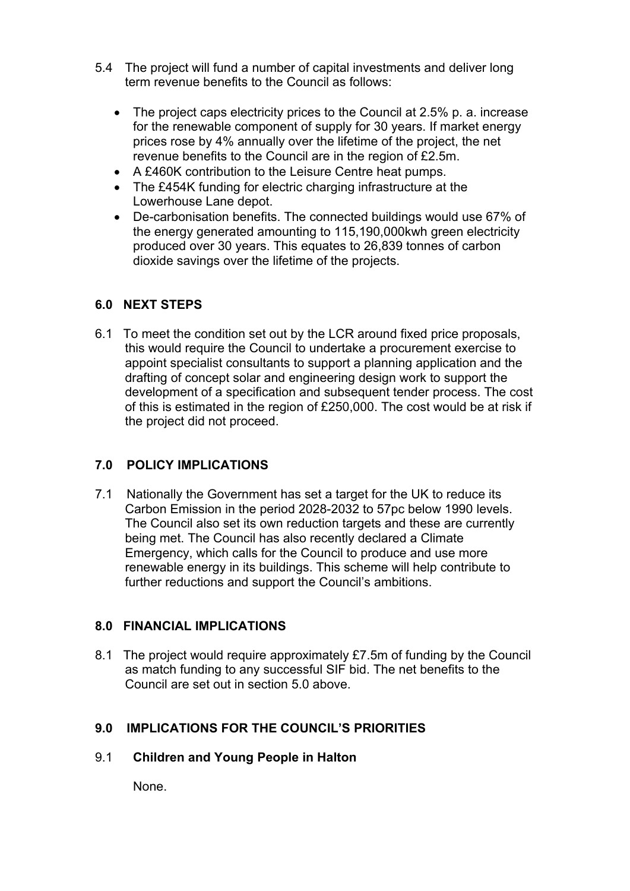- 5.4 The project will fund a number of capital investments and deliver long term revenue benefits to the Council as follows:
	- The project caps electricity prices to the Council at 2.5% p. a. increase for the renewable component of supply for 30 years. If market energy prices rose by 4% annually over the lifetime of the project, the net revenue benefits to the Council are in the region of £2.5m.
	- A £460K contribution to the Leisure Centre heat pumps.
	- The £454K funding for electric charging infrastructure at the Lowerhouse Lane depot.
	- De-carbonisation benefits. The connected buildings would use 67% of the energy generated amounting to 115,190,000kwh green electricity produced over 30 years. This equates to 26,839 tonnes of carbon dioxide savings over the lifetime of the projects.

### **6.0 NEXT STEPS**

6.1 To meet the condition set out by the LCR around fixed price proposals, this would require the Council to undertake a procurement exercise to appoint specialist consultants to support a planning application and the drafting of concept solar and engineering design work to support the development of a specification and subsequent tender process. The cost of this is estimated in the region of £250,000. The cost would be at risk if the project did not proceed.

## **7.0 POLICY IMPLICATIONS**

7.1 Nationally the Government has set a target for the UK to reduce its Carbon Emission in the period 2028-2032 to 57pc below 1990 levels. The Council also set its own reduction targets and these are currently being met. The Council has also recently declared a Climate Emergency, which calls for the Council to produce and use more renewable energy in its buildings. This scheme will help contribute to further reductions and support the Council's ambitions.

#### **8.0 FINANCIAL IMPLICATIONS**

8.1 The project would require approximately £7.5m of funding by the Council as match funding to any successful SIF bid. The net benefits to the Council are set out in section 5.0 above.

#### **9.0 IMPLICATIONS FOR THE COUNCIL'S PRIORITIES**

#### 9.1 **Children and Young People in Halton**

None.